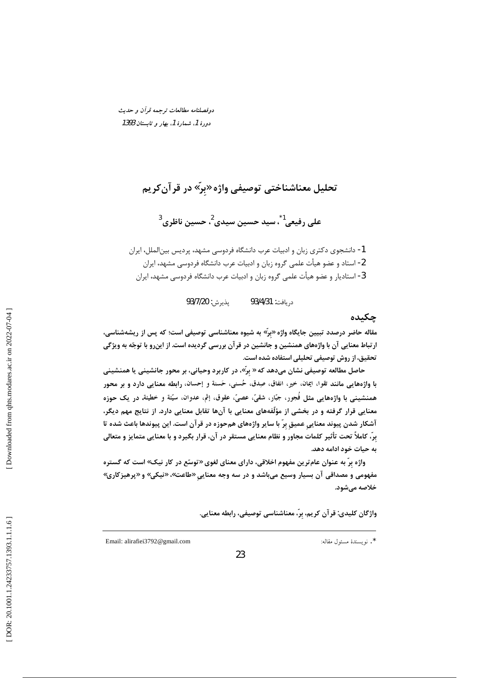دوفصلنامه مطالعات ترجمه قرأن و حديث دورهٔ 1، شمارهٔ 1، بهار و تابستان 1393

# تحليل معناشناختي توصيفي واژه «برّ» در قر آن *ک*ريم

على رفيعي<sup>1</sup>ً، سيد حسين سيدي<sup>2</sup>، حسين ناظري<sup>3</sup>

1- دانشجوی دکتری زبان و ادبیات عرب دانشگاه فردوسی مشهد، پردیس بین|لملل، ایران 2- استاد و عضو هیأت علمی گروه زبان و ادبیات عرب دانشگاه فردوسی مشهد، ایران 3- استادیار و عضو هیأت علمی گروه زبان و ادبیات عرب دانشگاه فردوسی مشهد، ایران

> پذيرش: 93/7/20 د, يافت: 93/4/31

#### چکیده

مقاله حاضر درصدد تبیین جایگاه واژه «برّ» به شیوه معناشناسی توصیفی است؛ که پس از ریشهشناسی، ارتباط معنایی آن با واژههای همنشین و جانشین در قرآن بررسی گردیده است. از اینرو با توجّه به ویژگی تحقیق، از روش توصیفی تحلیلی استفاده شده است.

حاصل مطالعه توصیفی نشان میدهد که « برّ»، در کاربرد وحیانی، بر محور جانشینی یا همنشینی با واژههایی مانند تقوا، ایمان، خیر، انفاق، صِدق، حُسنی، حَسنة و إحسان، رابطه معنایی دارد و بر محور همنشيني با واژههايي مثل فَجور، جبّار، شقيّ، عصيّ، عقوق، إثم، عدوان، سيّئة و خطيئة، در يک حوزه معنایی قرار گرفته و در بخشی از مؤلّفههای معنایی با آنها تقابل معنایی دارد. از نتایج مهم دیگر، آشکار شدن پیوند معنایی عمیق برّ با سایر واژههای همحوزه در قرآن است. این پیوندها باعث شده تا برّ، كاملاً تحت تأثير كلمات مجاور و نظام معنايي مستقر در آن، قرار بگيرد و با معنايي متمايز و متعالي به حیات خود ادامه دهد.

واژه برّ به عنوان عام *ت*رین مفهوم اخلاقی، دارای معنای لغوی «توسّع در کار نیک» است که گستره مفهومی و مصداقی آن بسیار وسیع میباشد و در سه وجه معنایی «طاعت»، «نیکی» و «پرهیزکاری» خلاصه مىشود.

واژگان کلیدی: قرآن کریم، بِرّ، معناشناسی توصیفی، رابطه معنایی.

\*. نويسندهٔ مسئول مقاله:

Email: alirafiei3792@gmail.com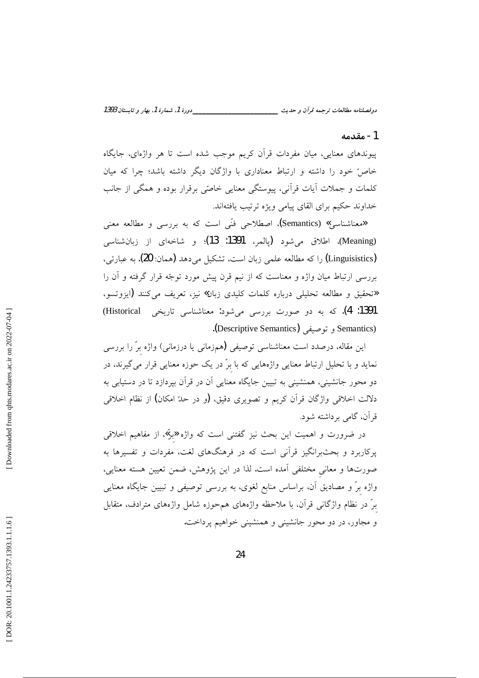\_دورهٔ 1، شمارهٔ 1، بهار و تابستان 1393 دوفصلنامه مطالعات ترجمه قرآن و حديث \_\_

#### 1- مقدمه

پیوندهای معنایی، میان مفردات قرآن کریم موجب شده است تا هر واژهای، جایگاه خاصٌ خود را داشته و ارتباط معناداری با واژگان دیگر داشته باشد؛ چرا که میان كلمات و جملات آيات قرآني، پيوستگي معنايي خاصّي برقرار بوده و همگي از جانب خداوند حکیم برای القای پیامی ویژه ترتیب یافتهاند.

«معناشناسی» (Semantics)، اصطلاحی فنّی است که به بررسی و مطالعه معنی (Meaning)، اطلاق میشود (پالمر، 1391: 13)؛ و شاخهای از زبانشناسی (Linguisistics) را که مطالعه علمی زبان است، تشکیل میدهد (همان: 20). به عبارتی، بررسی ارتباط میان واژه و معناست که از نیم قرن پیش مورد توجّه قرار گرفته و آن را «تحقيق و مطالعه تحليلي درباره كلمات كليدي زبان» نيز، تعريف مي كنند (ايزوتسو، 1391: 4). که به دو صورت بررسی میشود: معناشناسی تاریخی Historical) (Semantics و توصيفي (Descriptive Semantics).

این مقاله، درصدد است معناشناسی توصیفی (همزمانی یا درزمانی) واژه برّ را بررسی نماید و با تحلیل ارتباط معنایی واژههایی که با برّ در یک حوزه معنایی قرار میگیرند، در دو محور جانشینی، همنشینی به تبیین جایگاه معنایی آن در قرآن بپردازد تا در دستیابی به دلالت اخلاقی واژگان قرآن کریم و تصویری دقیق، (و در حدّ امکان) از نظام اخلاقی قرآن، گامی برداشته شود.

در ضرورت و اهمیت این بحث نیز گفتنی است که واژه «برّ» از مفاهیم اخلاقی پرکاربرد و بحثبرانگیز قرآنی است که در فرهنگهای لغت، مفردات و تفسیرها به صورتها و معانی مختلفی آمده است. لذا در این پژوهش، ضمن تعیین هسته معنایی، واژه برّ و مصادیق آن، براساس منابع لغوی، به بررسی توصیفی و تبیین جایگاه معنایی برٌ در نظام واژگانی قرأن، با ملاحظه واژههای همحوزه شامل واژههای مترادف، متقابل و مجاور، در دو محور جانشینی و همنشینی خواهیم پرداخت.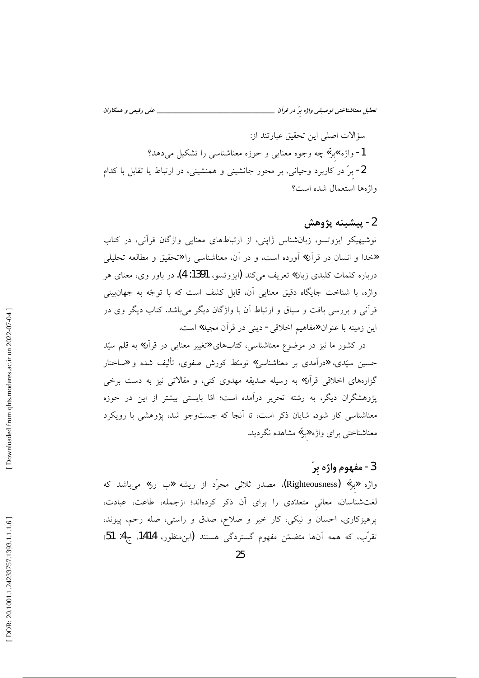تحلیل معناشناختی توصیفی واژه برّ در قرآن \_ \_ علمي رفيعي و همكاران

سؤالات اصلى اين تحقيق عبارتند از: 1- واژه »برٌ» چه وجوه معنایی و حوزه معناشناسی را تشکیل می دهد؟ 2- برٌ در کاربرد وحیانی، بر محور جانشینی و همنشینی، در ارتباط یا تقابل با کدام واژهها استعمال شده است؟

### 2- پيشينه پژوهش

توشیهیکو ایزوتسو، زبانشناس ژاپنی، از ارتباطهای معنایی واژگان قرآنی، در کتاب «خدا و انسان در قرآن» آورده است، و در آن، معناشناسی را «تحقیق و مطالعه تحلیلی درباره كلمات كليدي زبان» تعريف ميكند (ايزوتسو، 1391: 4). در باور وي، معناي هر واژه، با شناخت جایگاه دقیق معنایی آن، قابل کشف است که با توجّه به جهانبینی قرآنی و بررسی بافت و سیاق و ارتباط آن با واژگان دیگر میباشد. کتاب دیگر وی در این زمینه با عنوان «مفاهیم اخلاقی- دینی در قرآن مجید» است.

در کشور ما نیز در موضوع معناشناسی، کتابهای «تغییر معنایی در قرآن» به قلم سیّد حسین سیّدی، «درآمدی بر معناشناسی» توسّط کورش صفوی، تألیف شده و «ساختار گزارههای اخلاقی قرآن» به وسیله صدیقه مهدوی کنی، و مقالاتی نیز به دست برخی پژوهشگران دیگر، به رشته تحریر درآمده است؛ امّا بایستی بیشتر از این در حوزه معناشناسی کار شود. شایان ذکر است، تا آنجا که جستوجو شد، پژوهشی با رویکرد معناشناختی برای واژه **«**برٌ» مشاهده نگردید.

# 3 - مفهوم واژه بِرّ

واژه «برٌ» (Righteousness)، مصدر ثلاثی مجرّد از ریشه «ب رر» میباشد که لغتشناسان، معانی متعدّدی را برای آن ذکر کردهاند؛ ازجمله، طاعت، عبادت، پرهیزکاری، احسان و نیکی، کار خیر و صلاح، صدق و راستی، صله رحم، پیوند، تقرَّبِ، که همه آنها متضمّن مفهوم گستردگی هستند (ابنِمنظور، 1414، ج4: 51؛

25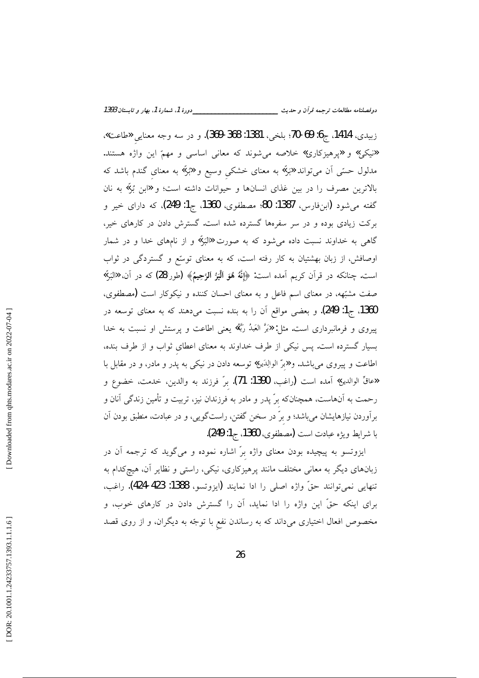زبيدي، 1414، ج6: 69-70؛ بلخي، 1381: 368-369). و در سه وجه معنايي «طاعت». «نیکی» و «پرهیزکاری» خلاصه میشوند که معانی اساسی و مهمّ این واژه هستند. مدلول حسّی آن میتواند «بَرٌ» به معنای خشکی وسیع و «بُرٌ» به معنای گندم باشد که بالاترین مصرف را در بین غذای انسانها و حیوانات داشته است؛ و «ابن بُرّ» به نان گفته میشود (ابنفارس، 1387: 80؛ مصطفوی، 1360، ج1: 249)، که دارای خیر و برکت زیادی بوده و در سر سفرهها گسترده شده است. گسترش دادن در کارهای خیر، گاهی به خداوند نسبت داده میشود که به صورت «البَرّ» و از نامهای خدا و در شمار اوصافش، از زبان بهشتیان به کار رفته است، که به معنای توسّع و گستردگی در ثواب است. چنانکه در قرآن کریم آمده است: ﴿إِنَّهُ هُوَ ٱلْمَبُرُّ ٱلرَّحِيمُ﴾ (طور/28) که در آن، «البَرِّ» صفت مشبّهه، در معنای اسم فاعل و به معنای احسان کننده و نیکوکار است (مصطفوی، 1360، ج1: 249). و بعضی مواقع آن را به بنده نسبت میدهند که به معنای توسعه در پیروی و فرمانبرداری است. مثل: «بَرَّ العَبدُ رَبَّهُ» یعنی اطاعت و پرستش او نسبت به خدا بسیار گسترده است. پس نیکی از طرف خداوند به معنای اعطای ثواب و از طرف بنده، اطاعت و پیروی میباشد. و «برّ الوالِدَین» توسعه دادن در نیکی به پدر و مادر، و در مقابل با «عاقٌ الوالدين» أمده است (راغب، 1390: 71). برٌ فرزند به والدين، خدمت، خضوع و رحمت به آنهاست، همچنانکه برّ پدر و مادر به فرزندان نیز، تربیت و تأمین زندگی آنان و برآوردن نیازهایشان میباشد؛ و برّ در سخن گفتن، راستگویی، و در عبادت، منطبق بودن آن با شرايط ويژه عبادت است (مصطفوى، 1360، ج1: 249).

ایزوتسو به پیچیده بودن معنای واژه برّ اشاره نموده و میگوید که ترجمه آن در زبانهای دیگر به معانی مختلف مانند پرهیزکاری، نیکی، راستی و نظایر آن، هیچکدام به تنهايي نميتوانند حقٌّ واژه اصلي را ادا نمايند (ايزوتسو، 1388: 423-424). راغب، برای اینکه حقّ این واژه را ادا نماید، آن را گسترش دادن در کارهای خوب، و مخصوص افعال اختیاری میداند که به رساندن نفع با توجّه به دیگران، و از روی قصد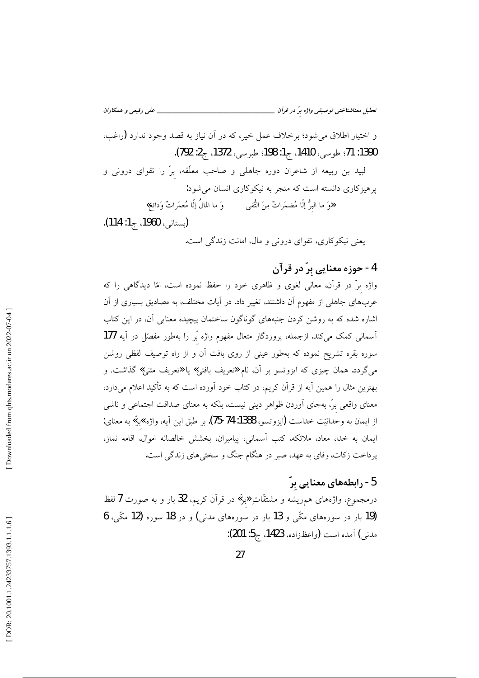\_ علمي رفيعي و همكاران تحلیل معناشناختی توصیفی واژه برّ در قرآن \_\_\_\_\_\_\_\_\_\_\_\_

و اختیار اطلاق میشود؛ برخلاف عمل خیر، که در آن نیاز به قصد وجود ندارد (راغب، 1390: 71؛ طوسى، 1410، ج1: 198؛ طبرسى، 1372، ج2: 792).

لبید بن ربیعه از شاعران دوره جاهلی و صاحب معلّقه، برّ را تقوای درونی و پرهیزکاری دانسته است که منجر به نیکوکاری انسان می شود: و<br>هوَ ما البرُّ إلّا مُضمَراتٌ مِنَ النُّقبي وَ ما المالُ إلّا مُعمَراتٌ وَدائع»

(يستانى، 1960، ج1: 114). یعنی نیکوکاری، تقوای درونی و مال، امانت زندگی است.

4- حوزه معنایی برّ در قرآن

واژه برّ در قرآن، معانی لغوی و ظاهری خود را حفظ نموده است، امّا دیدگاهی را که عربهای جاهلی از مفهوم آن داشتند، تغییر داد. در آیات مختلف، به مصادیق بسیاری از آن اشاره شده که به روشن کردن جنبههای گوناگون ساختمان پیچیده معنایی آن، در این کتاب آسمانی کمک میکند. ازجمله، پروردگار متعال مفهوم واژه بّر را بهطور مفصّل در آیه **177** سوره بقره تشریح نموده که بهطور عینی از روی بافت آن و از راه توصیف لفظی روشن میگردد. همان چیزی که ایزوتسو بر آن، نام **«**تعریف بافتی» یا **«ت**عریف متنی» گذاشت. و بهترین مثال را همین آیه از قرآن کریم، در کتاب خود آورده است که به تأکید اعلام میدارد، معنای واقعی برّ، بهجای آوردن ظواهر دینی نیست، بلکه به معنای صداقت اجتماعی و ناشی از ايمان به وحدانيّت خداست (ايزوتسو، 1388: 74-75). بر طبق اين آيه، واژه »بر» به معناى: ایمان به خدا، معاد، ملائکه، کتب اَسمانی، پیامبران، بخشش خالصانه اموال، اقامه نماز، یرداخت زکات، وفای به عهد، صبر در هنگام جنگ و سختی های زندگی است.

# 5- رابطههای معنایی برّ

درمجموع، واژههای هم٫ریشه و مشتقّاتِ «برٌ» در قرآن کریم، 32 بار و به صورت 7 لفظ (19 بار در سورههای مکّی و 13 بار در سورههای مدنی) و در 18 سوره (12 مکّی، 6 مدني) آمده است (واعظزاده، 1423، ج5: 201):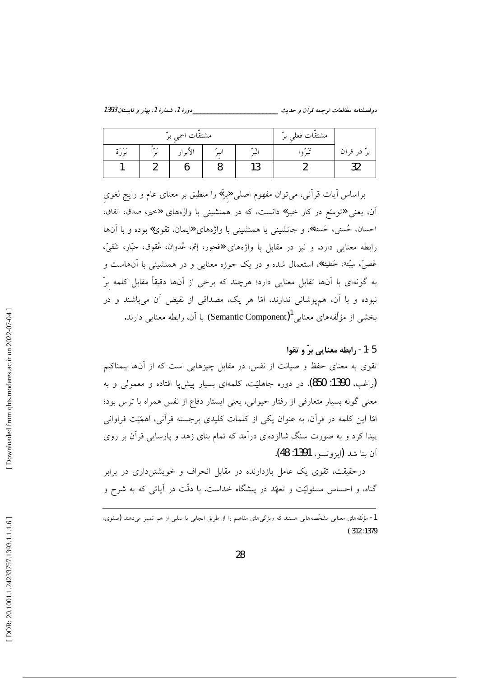\_\_\_\_دورهٔ 1، شمارهٔ 1، بهار و تابستان 1393 دوفصلنامه مطالعات ترجمه قرآن و حديث \_\_\_\_\_\_\_\_

| مشتقَّات اسمی برّ             |      |         |   |             | مشتقَّات فعلى برِّ ا |             |
|-------------------------------|------|---------|---|-------------|----------------------|-------------|
| $\omega < \epsilon <$<br>برره | ىر س | الأبرار | - | ر س<br>ىبىر | ىرىر  بى<br>نب       | برّ در قرآن |
|                               |      |         |   | י -<br>نۍ ا |                      |             |

براساس آيات قرآني، مي توان مفهوم اصلي «برٌ» را منطبق بر معناي عام و رايج لغوي آن، یعنی «توسّع در کار خیر» دانست، که در همنشینی با واژههای «خیر، صدق، انفاق، احسان، حُسنی، حَسنة»، و جانشینی یا همنشینی با واژههای «ایمان، تقوی» بوده و با آنها رابطه معنایی دارد. و نیز در مقابل با واژههای «فجور، إثم، عُدوان، عُقوق، جبّار، شَقيّ، عَصِيٌّ، سِيِّئة، خَطِيئة»، استعمال شده و در يک حوزه معنايي و در همنشيني با آنهاست و به گونهای با آنها تقابل معنایی دارد؛ هرچند که برخی از آنها دقیقاً مقابل کلمه برّ .<br>نبوده و با آن، همپوشان<sub>ی</sub> ندارند، امّا هر یک، مصداقی از نقیض آن می<sub>ن</sub>اشند و در بخشی از مؤلَّفههای معنایی <sup>1</sup>(Semantic Component) با آن، رابطه معنایی دارند.

5-1- رابطه معنایی برّ و تقوا تقوی به معنای حفظ و صیانت از نفس، در مقابل چیزهایی است که از آنها بیمناکیم (راغب، 1390: 850). در دوره جاهلیّت، کلمهای بسیار پیش4ا افتاده و معمولی و به معنی گونه بسیار متعارفی از رفتار حیوانی، یعنی ایستار دفاع از نفس همراه با ترس بود؛ امّا این کلمه در قرآن، به عنوان یکی از کلمات کلیدی برجسته قرآنی، اهمّیّت فراوانی پیدا کرد و به صورت سنگ شالودهای درآمد که تمام بنای زهد و پارسایی قرآن بر روی آن بنا شد (ايزوتسو، 1391: 48).

درحقیقت، تقوی یک عامل بازدارنده در مقابل انحراف و خویشتنداری در برابر گناه، و احساس مسئولیّت و تعهّد در پیشگاه خداست. با دقّت در آیاتی که به شرح و

<sup>1-</sup> مؤلّفههای معنایی مشخّصههایی هستند که ویژگیهای مفاهیم را از طریق ایجابی یا سلبی از هم تمییز میدهند (صفوی،  $(312:1379)$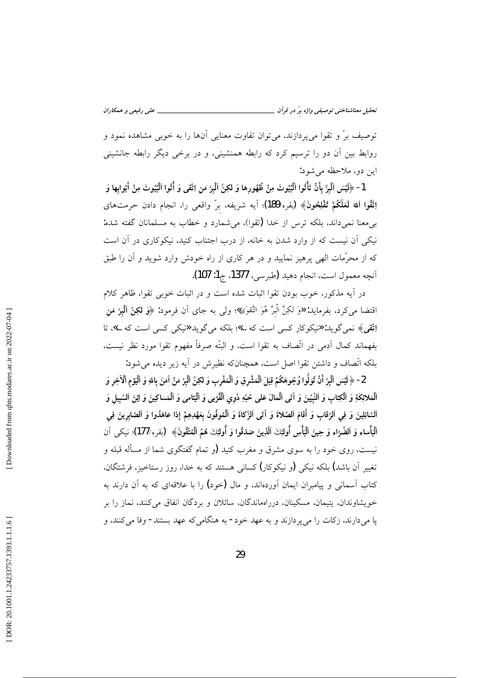توصیف برّ و تقوا می پردازند، می توان تفاوت معنایی آنها را به خوبی مشاهده نمود و روابط بین اَن دو را ترسیم کرد که رابطه همنشینی، و در برخی دیگر رابطه جانشینی اين دو، ملاحظه مي شود:

1- ﴿لَيْسَ اَلْبِرُّ بِأَنْ تَأْتُوا اَلْبُيُوتَ مِنْ ظُهُورِها وَ لكِنَّ اَلْبِرَّ مَن اِتَّقِىٰ وَ أُتُوا الْبُيُوتَ مِنْ أَبْوابِها وَ اِتَّقُوا اَللهَ لَعَلَّكُمْ تُفْلِحُونَ﴾ (بقره/189)؛ آيه شريفه، برّ واقعى را، انجام دادن حرمتهاى بی معنا نمیداند، بلکه ترس از خدا (تقوا)، می شمارد و خطاب به مسلمانان گفته شده: نیکی آن نیست که از وارد شدن به خانه، از درب اجتناب کنید، نیکوکاری در آن است که از محرَّمات الهی پرهیز نمایید و در هر کاری از راه خودش وارد شوید و آن را طبق آنچه معمول است، انجام دهيد (طبرسي، 1377، ج1: 107).

در آيه مذكور، خوب بودن تقوا اثبات شده است و در اثبات خوبي تقوا، ظاهر كلام اقتضا ميكرد، بفرمايد: «وَ لكِنَّ الْبرَّ هُوَ التَّقوَى»؛ ولي به جاي آن فرمود: ﴿وَ لَكِنَّ ٱلْمِرَّ مَن اِتَّقِيٰ﴾ نمي گويد: «نيكوكار كسي است كه ...»؛ بلكه مي گويد «نيكي كسي است كه ...»، تا بفهماند كمال آدمى در اتِّصاف به تقوا است، و البتَّه صرفاً مفهوم تقوا مورد نظر نيست، بلکه اتَّصاف و داشتن تقوا اصل است، همچنانکه نظیرش در آیه زیر دیده می شود:

2- ﴿ لَيْسَ ٱلْبِرَّ أَنْ تُوَلُّوا وُجُوهَكُمْ قِبَلَ ٱلْمَشْرِقِ وَ ٱلْمَغْرِبِ وَ لكِنَّ ٱلْبِرَّ مَنْ آمَنَ باللهِ وَ ٱلْيَوْمِ ٱلْآخِرِ وَ ٱلْمَلائِكَةِ وَ ٱلْكِتابِ وَ النَّبِيِّينَ وَ آتَى ٱلْمَالَ عَلَىٰ حُبِّهِ ذَوِي ٱلْقُوْمِيٰ وَ ٱلْيَتاميٰ وَ ألْمَساكينَ وَ اِيْنَ اَلسَّبِيلِ وَ ٱلسَّائِلِينَ وَ فِي ٱلرِّقَابِ وَ أَقَامَ ٱلصَّلاةَ وَ آتَى ٱلزَّكَاةَ وَ ٱلْمُوفُونَ بِعَهْدِهِمْ إذا عاهَدُوا وَ ٱلصَّابِرِينَ فِي ٱلْبَأْسَاءِ وَ الضَّرَّاءِ وَ حِينَ الْبَأْسِ أُولَئِكَ الَّذِينَ صَدَقُوا وَ أُولَئِكَ هُمُ الْمُتَّقُونَ﴾ (يقره/177)؛ نيكي آن نیست، روی خود را به سوی مشرق و مغرب کنید (و تمام گفتگوی شما از مسأله قبله و تغییر آن باشد) بلکه نیکی (و نیکوکار) کسانی هستند که به خدا، روز رستاخیز، فرشتگان، کتاب آسمانی و پیامبران ایمان آوردهاند، و مال (خود) را با علاقهای که به آن دارند به خویشاوندان، پتیمان، مسکینان، دررامماندگان، سائلان و بردگان انفاق می کنند، نماز را بر یا می دارند، زکات را می یر دازند و به عهد خود- به هنگامی که عهد بستند- وفا می کنند، و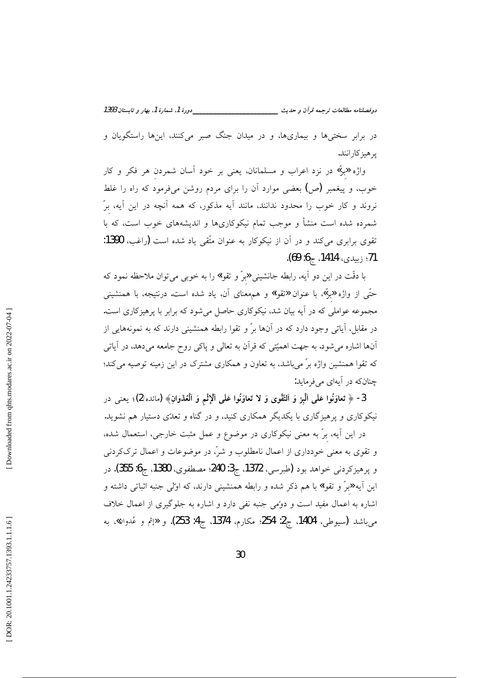\_\_دورهٔ 1، شمارهٔ 1، بهار و تابستان 1393 دوفصلنامه مطالعات ترجمه قرأن و حديث \_\_\_\_\_\_\_\_\_

در برابر سختی۵ا و بیماری۱ه، و در میدان جنگ صبر میکنند، این۱ه راستگویان و ير هيز كارانند.

واژه «برّ» در نزد اعراب و مسلمانان، یعنی بر خود آسان شمردن هر فکر و کار خوب، و پیغمبر (ص) بعضی موارد أن را برای مردم روشن میفرمود که راه را غلط نروند و کار خوب را محدود ندانند، مانند آیه مذکور، که همه آنچه در این آیه، برّ شمرده شده است منشأ و موجب تمام نیکوکاریها و اندیشههای خوب است، که با تقوى برابرى مى كند و در آن از نيكوكار به عنوان متّقى ياد شده است (راغب، 1390: 71؛ زېيدى، 1414، ج**6: 69)**.

با دقّت در این دو آیه، رابطه جانشینی **«**برّ و تقوا» را به خوبی میتوان ملاحظه نمود که حتّى از واژه «برٌ»، با عنوان «تقوا» و همهعناى آن، ياد شده است. درنتيجه، با همنشيني مجموعه عواملی که در آیه بیان شد، نیکوکاری حاصل میشود که برابر با پرهیزکاری است. در مقابل، آیاتی وجود دارد که در آنها برّ و تقوا رابطه همنشینی دارند که به نمونههایی از آنها اشاره میشود. به جهت اهمیّتی که قرآن به تعالی و پاکی روح جامعه میدهد، در آیاتی که تقوا همنشین واژه برّ میباشد، به تعاون و همکاری مشترک در این زمینه توصیه میکند؛ چنانکه در آیهای می فرماید:

3- ﴿ تَعٰاوَنُوا عَلَى ٱلْبِرِّ وَ اَلتَّقُوىٰ وَ لا تَعٰاوَنُوا عَلَى ٱلْإِثْمِ وَ ٱلْعُدْوٰانِ﴾ (مائده/2)؛ يعنى در نیکوکاری و پرهیزگاری با یکدیگر همکاری کنید، و در گناه و تعدّی دستیار هم نشوید. در این آیه، برّ به معنی نیکوکاری در موضوع و عمل مثبت خارجی، استعمال شده، و تقوی به معنی خودداری از اعمال نامطلوب و شرّ، در موضوعات و اعمال ترککردنی و پرهيزكردنى خواهد بود (طبرسى، 1372، ج3: 240؛ مصطفوى، 1380، ج6: 355). در این آیه «برّ و تقوا» با هم ذکر شده و رابطه همنشینی دارند، که اولی جنبه اثباتی داشته و اشاره به اعمال مفید است و دوّمی جنبه نفی دارد و اشاره به جلوگیری از اعمال خلاف

ميباشد (سيوطى، 1404، ج2: 254؛ مكارم، 1374، ج4: 253). و «إثم و عُدوان»، به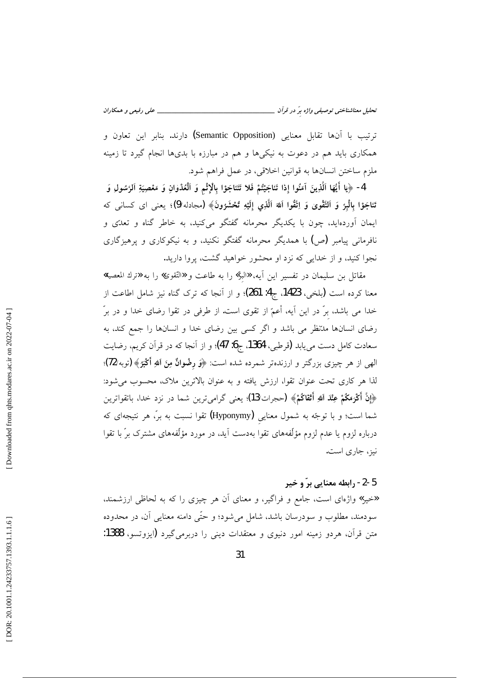ترتيب با أنها تقابل معنايي (Semantic Opposition) دارند. بنابر اين تعاون و همکاری باید هم در دعوت به نیکیها و هم در مبارزه با بدیها انجام گیرد تا زمینه ملزم ساختن انسانها به قوانين اخلاقي، در عمل فراهم شود.

4- ﴿يا أَيُّهَا ٱلَّذِينَ آمَنُوا إِذا تَناجَيْتُمْ فَلا تَتَناجَوْا بِالْإِثْمِ وَ ٱلْعُدْوٰانِ وَ مَعْصِيَةِ ٱلرَّسُولِ وَ تَناجَوْا بِالْبِرِّ وَ اَلتَّقْوِيٰ وَ اِتَّقُوا اَللَّهَ اَلَّذِي إِلَيْهِ تُحْشَرُونَ﴾ (مجادله/9)؛ يعني اي كساني كه ایمان آوردهاید، چون با یکدیگر محرمانه گفتگو میکنید، به خاطر گناه و تعدّی و نافرمانی پیامبر (ص) با همدیگر محرمانه گفتگو نکنید، و به نیکوکاری و پرهیزگاری نجوا کنید، و از خدایی که نزد او محشور خواهید گشت، پروا دارید.

مقاتل بن سليمان در تفسير اين أيه، «البرّ» را به طاعت و «التّقوى» را به «ترك المعصية» معنا كرده است (بلخي، 1423، ج4: 261)؛ و از آنجا كه ترك گناه نيز شامل اطاعت از خدا می باشد، برّ در این آیه، أعمّ از تقوی است. از طرفی در تقوا رضای خدا و در برّ رضای انسانها مدتظر می باشد و اگر کسی بین رضای خدا و انسانها را جمع کند، به سعادت كامل دست مىيابد (قرطبى، 1364، ج6: 47)؛ و از آنجا كه در قرآن كريم، رضايت الهي از هر چيزي بزرگتر و ارزندهتر شمرده شده است: ﴿وَ رضْوانٌ مِنَ اللهِ أَكْبَرُ﴾ (توبه/72)؛ لذا هر كاري تحت عنوان تقوا، ارزش يافته و به عنوان بالاترين ملاك، محسوب مي شود: ﴿إِنَّ أَكْرَمَكُمْ عِنْدَ اللَّهِ أَثْقَاكُمْ﴾ (حجرات/13)؛ يعني گراميترين شما در نزد خدا، باتقواترين شما است؛ و با توجّه به شمول معنایی (Hyponymy) تقوا نسبت به برّ، هر نتیجهای که درباره لزوم یا عدم لزوم مؤلّفههای تقوا بهدست آید، در مورد مؤلّفههای مشترک برّ با تقوا نبز، جاری است.

#### 5-2- رابطه معنایی برّ و خیر

**«**خیر» واژهای است، جامع و فراگیر، و معنای آن هر چیزی را که به لحاظی ارزشمند، سودمند، مطلوب و سودرسان باشد، شامل میشود؛ و حتّٰی دامنه معنایی آن، در محدوده متن قرآن، هردو زمینه امور دنیوی و معتقدات دینی را دربرمیگیرد (ایزوتسو، 1388: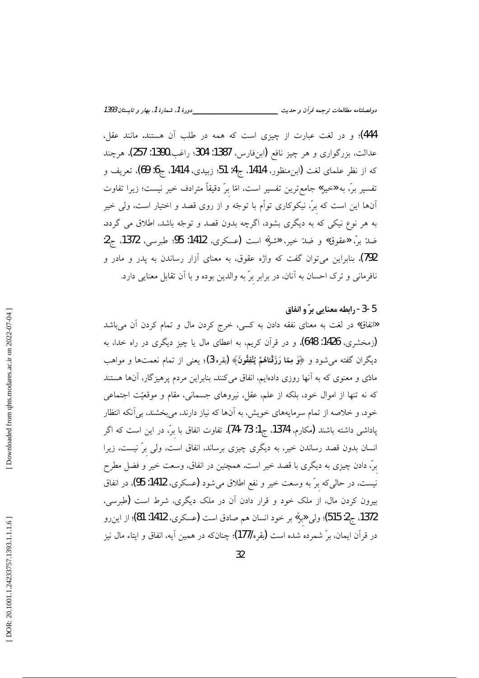444)؛ و در لغت عبارت از چیزی است که همه در طلب آن هستند. مانند عقل، عدالت، بزرگواري و هر چيز نافع (ابنفارس، 1387: 304؛ راغب،1390: 257). هرچند كه از نظر علماي لغت (ابن منظور، 1414، ج4: 51؛ زبيدي، 1414، ج6: 69)، تعريف و تفسیر برّ، به «خیر» جامع ترین تفسیر است، امّا برّ دقیقاً مترادف خیر نیست؛ زیرا تفاوت آنها این است که برّ، نیکوکاری توأم با توجّه و از روی قصد و اختیار است، ولی خیر به هر نوع نیکی که به دیگری بشود، اگرچه بدون قصد و توجّه باشد. اطلاق می گردد. ضدٌ بنِّ «عقوق» و ضدٌ خير، «شرّ» است (عسكري، 1412: 95؛ طبرسي، 1372. ج2: 792). بنابراین میتوان گفت که واژه عقوق، به معنای آزار رساندن به پدر و مادر و .<br>نافرمانی و ترک احسان به آنان، در برابر برّ به والدین بوده و با آن تقابل معنایی دارد.

5-3- رابطه معنایی برّ و انفاق

«انفاق» در لغت به معنای نفقه دادن به کسی، خرج کردن مال و تمام کردن آن میباشد (زمخشری، 1426: 648). و در قرآن کریم، به اعطای مال یا چیز دیگری در راه خدا، به دیگران گفته می شود و ﴿وَ مِعْا رَزَقْنَاهُمْ يُنْفِقُونَ﴾ (يقره/3)؛ يعني از تمام نعمتها و مواهب مادی و معنوی که به آنها روزی دادهایم، انفاق میکنند. بنابراین مردم پرهیزگار، آنها هستند که نه تنها از اموال خود، بلکه از علم، عقل، نیروهای جسمانی، مقام و موقعیّت اجتماعی خود، و خلاصه از تمام سرمایههای خویش، به آنها که نیاز دارند، میبخشند، بی آنکه انتظار پاداشی داشته باشند (مکارم، 1374، ج1: 73-74). تفاوت انفاق با برّ، در این است که اگر انسان بدون قصد رساندن خیر، به دیگری چیزی برساند، انفاق است، ولی برّ نیست، زیرا برِّ، دادن چیزی به دیگری با قصد خیر است. همچنین در انفاق، وسعت خیر و فضل مطرح نیست، در حالی که برّ به وسعت خیر و نفع اطلاق میشود (عسکری، 1412: 95)، در انفاق بیرون کردن مال، از ملک خود و قرار دادن آن در ملک دیگری، شرط است (طبرسی، 1372، ج2: 515)؛ ولي «برٌ» بر خود انسان هم صادق است (عسكري، 1412: 81)؛ از اين رو در قرآن ايمان، برّ شمرده شده است (يقره/177)؛ چنانکه در همين آيه، انفاق و ايتاء مال نيز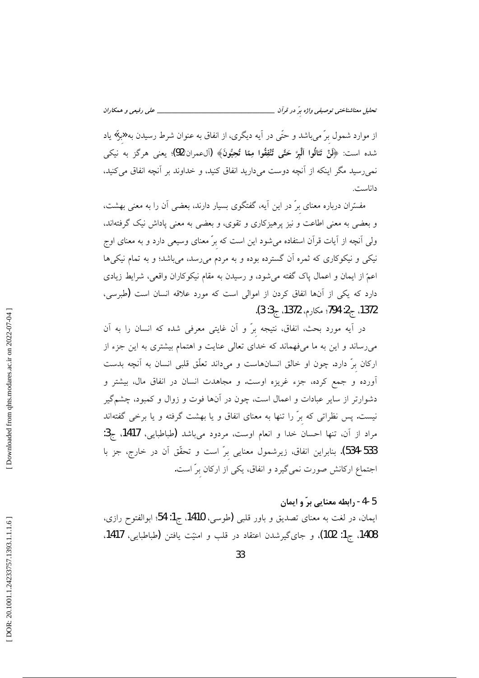از موارد شمول برّ میباشد و حتّی در آیه دیگری، از انفاق به عنوان شرط رسیدن به **«ب**رّ» یاد شده است: ﴿لَنْ تَنالُوا ٱلْبِرَّ حَتَّى تُنْفِقُوا مِمَّا تُحِبُّونَ﴾ (آلءمران/92)؛ يعني هركَز به نيكي نمی رسید مگر اینکه از آنچه دوست می دارید انفاق کنید، و خداوند بر آنچه انفاق می کنید، داناست.

مفسّران درباره معنای برّ در این آیه، گفتگوی بسیار دارند، بعضی آن را به معنی بهشت، و بعضی به معنی اطاعت و نیز پرهیزکاری و تقوی، و بعضی به معنی پاداش نیک گرفتهاند. ولی آنچه از آیات قرآن استفاده می شود این است که برّ معنای وسیعی دارد و به معنای اوج نیکی و نیکوکاری که ثمره آن گسترده بوده و به مردم می رسد، می باشد؛ و به تمام نیکیها اعمّ از ایمان و اعمال پاک گفته میشود، و رسیدن به مقام نیکوکاران واقعی، شرایط زیادی دارد که یکی از آنها انفاق کردن از اموالی است که مورد علاقه انسان است (طبرسی، 1372، ج2: 794؛ مكارم، 1372، ج3: 3).

در آیه مورد بحث، انفاق، نتیجه برّ و آن غایتی معرفی شده که انسان را به آن میرساند و این به ما میفهماند که خدای تعالی عنایت و اهتمام بیشتری به این جزء از ارکان برّ دارد. چون او خالق انسانهاست و میداند تعلّق قلبی انسان به آنچه بدست آورده و جمع کرده، جزء غریزه اوست. و مجاهدت انسان در انفاق مال، بیشتر و دشوارتر از سایر عبادات و اعمال است، چون در آنها فوت و زوال و کمبود، چشمگیر نیست. پس نظراتی که برّ را تنها به معنای انفاق و یا بهشت گرفته و یا برخی گفتهاند مراد از آن، تنها احسان خدا و انعام اوست، مردود میباشد (طباطبایی، 1417، ج3: 534-533). بنابراین انفاق، زیرشمول معنایی برّ است و تحقّق آن در خارج، جز با اجتماع ارکانش صورت نمیگیرد و انفاق، یکی از ارکان برّ است.

### 5-4- رابطه معنایی برّ و ایمان

ايمان، در لغت به معناى تصديق و باور قلبي (طوسى، 1410، ج1: 54؛ ابوالفتوح رازى، 1408، ج1: 102)، و جاي گيرشدن اعتقاد در قلب و امنيّت يافتن (طباطبايي، 1417.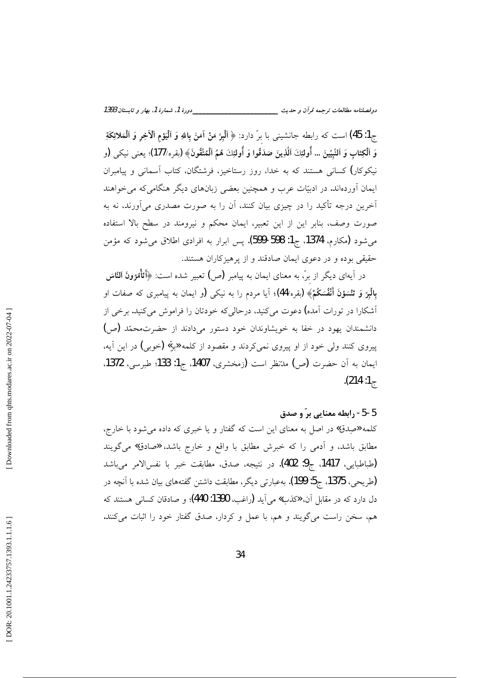ج1: 45) است كه رابطه جانشيني با برّ دارد: ﴿ ٱلْمِرَّ مَنْ آمَنَ بِاللهِ وَ ٱلْمَوْمِ ٱلْأَخِرِ وَ ٱلْمَلائِكَةِ وَ الْكِتابِ وَ النَّبِيِّينَ … أُولئِكَ الَّذِينَ صَدَقُوا وَ أُولئِكَ هُمُ الْمُتَّقُونَ﴾ (بقره/177)؛ يعني نيكي (و نیکوکار) کسانی هستند که به خدا، روز رستاخیز، فرشتگان، کتاب آسمانی و پیامبران ایمان آوردهاند. در ادبیّات عرب و همچنین بعضی زبانهای دیگر هنگامی که می خواهند آخرین درجه تأکید را در چیزی بیان کنند، آن را به صورت مصدری میآورند، نه به صورت وصف، بنابر این از این تعبیر، ایمان محکم و نیرومند در سطح بالا استفاده می شود (مکارم، 1374، ج1: 598-599). پس ابرار به افرادی اطلاق می شود که مؤمن حقیقی بوده و در دعوی ایمان صادقند و از پرهیزکاران هستند.

در آیهای دیگر از برّ، به معنای ایمان به پیامبر (ص) تعبیر شده است: ﴿أَقَأْمُوُونَ اَلْمُنَاسَ بِالْمِيرِّ وَ تَنْسَوْنَ أَنْفُسَكُمْ﴾ (بقره/44)؛ آیا مردم را به نیکی (و ایمان به پیامبری که صفات او اًشکارا در تورات آمده**)** دعوت میکنید، درحالیکه خودتان را فراموش میکنید. برخی از دانشمندان یهود در خفا به خویشاوندان خود دستور میدادند از حضرتمحمّد (ص) پیروی کنند ولی خود از او پیروی نمی کردند و مقصود از کلمه «برٌ» (خوبی) در این آیه، ايمان به آن حضرت (ص) مدّنظر است (زمخشرى، 1407، ج1: 133؛ طبرسى، 1372. .(214 :1 $\tau$ 

5-5- رابطه معنایی برّ و صدق کلمه «صِدق» در اصل به معنای این است که گفتار و یا خبری که داده می شود با خارج، مطابق باشد، و آدمی را که خبرش مطابق با واقع و خارج باشد، «صادق» میگویند (طباطبايي، 1417، ج9: 402). در نتيجه، صدق، مطابقت خبر با نفسالامر ميباشد (طریحی، 1375، ج5: 199). بهعبارتی دیگر، مطابقت داشتن گفتههای بیان شده با آنچه در دل دارد که در مقابل آن، «کذب» می آید (راغب، 1390: 440)؛ و صادقان کسانی هستند که هم، سخن راست میگویند و هم، با عمل و کردار، صدق گفتار خود را اثبات میکنند.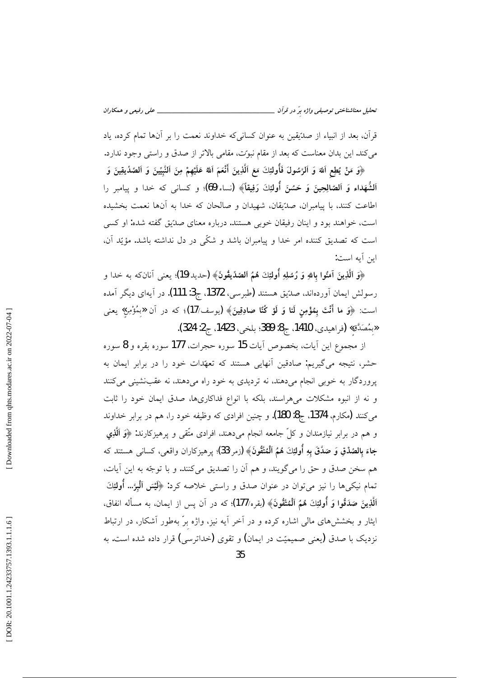قرآن، بعد از انبیاء از صدّیقین به عنوان کسانی که خداوند نعمت را بر آنها تمام کرده، یاد میکند. این بدان معناست که بعد از مقام نبوت، مقامی بالاتر از صدق و راستی وجود ندارد.

﴿وَ مَنْ يُطِعِ اَللهَ وَ اَلرَّسُولَ فَأُولَئِكَ مَعَ اَلَّذِينَ أَنْعَمَ اَللهُ عَلَيْهِمْ مِنَ اَلنَّبِيِّينَ وَ الصّدِّيقِينَ وَ اَلشُّهَداءِ وَ اَلصُالِحِينَ وَ حَسُنَ أُولئِكَ رَفِيقاً﴾ (نساء/69)؛ و كسانى كه خدا و ييامبر را اطاعت كنند، با پيامبران، صدِّيقان، شهيدان و صالحان كه خدا به آنها نعمت بخشيده است، خواهند بود و اینان رفیقان خوبی هستند. درباره معنای صدّیق گفته شده: او کسی است که تصدیق کننده امر خدا و پیامبران باشد و شکّی در دل نداشته باشد. مؤیّد آن، اين آبه است:

﴿وَ اَلَّذِينَ آمَنُوا بِاللَّهِ وَ رُسُلِهِ أُولَئِكَ هُمُ اَلصَّدِّيقُونَ﴾ (حديد/19)؛ يعنى آنانكه به خدا و رسولش ايمان آوردهاند، صدّيق هستند (طبرسي، 1372، ج3: 111). در آيهاي ديگر آمده است: ﴿وَ ما أَنْتَ بِمُؤْمِنٍ لَنا وَ لَوْ كُنَّا صادِقِينَ﴾ (يوسف/17)؛ كه در آن «بِمُؤْمِنِ» يعني «بِمُصَدَّق» (فراهيدي، 1410، ج8: 389؛ بلخي، 1423، ج2: 324).

از مجموع اين آيات، بخصوص آيات 15 سوره حجرات، 177 سوره بقره و 8 سوره حشر، نتیجه میگیریم: صادقین آنهایی هستند که تعهّدات خود را در برابر ایمان به یروردگار به خوبی انجام میدهند، نه تردیدی به خود راه میدهند، نه عقب نشینی می کنند و نه از انبوه مشکلات میهراسند، بلکه با انواع فداکاریها، صدق ایمان خود را ثابت می کنند (مکارم، 1374، ج8: 180). و چنین افرادی که وظیفه خود را، هم در برابر خداوند و هم در برابر نیازمندان و کلّ جامعه انجام میدهند، افرادی متّقی و پرهیزکارند: ﴿وَ ٱلَّذِی جاءَ بِالصِّدْقِ وَ صَدَّقَ بِهِ أُولَئِكَ هُمُ اَلْمُتَّقُونَ﴾ (زمر/33)؛ پرهيزكاران واقعي، كساني هستند كه هم سخن صدق و حق را مي گويند، و هم أن را تصديق مي كنند. و با توجّه به اين أيات، تمام نیکیها را نیز میتوان در عنوان صدق و راستی خلاصه کرد: ﴿لَيْسَ ٱلْبِرَّ… أُولَئِكَ ٱلَّذِينَ صَدَقُوا وَ أُولَئِكَ هُمُ ٱلْمُتَّقُونَ﴾ (بقره/177)؛ كه در آن يس از ايمان، به مسأله انفاق، ایثار و بخششهای مالی اشاره کرده و در آخر آیه نیز، واژه برّ بهطور آشکار، در ارتباط نزدیک با صدق (یعنی صمیمیّت در ایمان) و تقوی (خداترسی) قرار داده شده است. به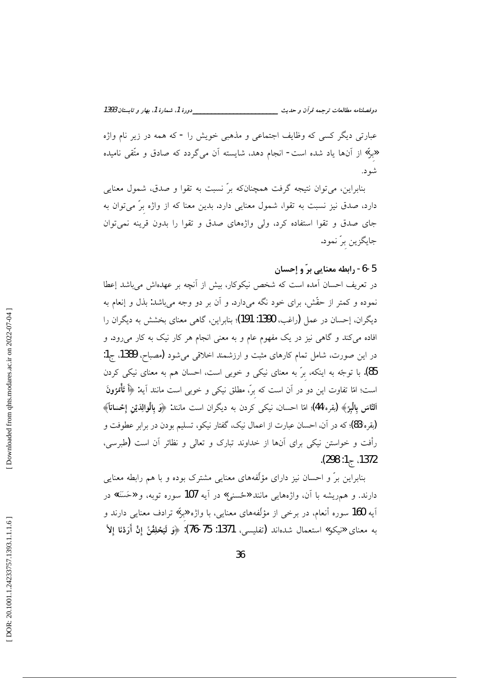عبارتي ديگر کسي که وظايف اجتماعي و مذهبي خويش را - که همه در زير نام واژه «برٌ» از آنها یاد شده است- انجام دهد، شایسته آن میگردد که صادق و متّقی نامیده شو د.

بنابراین، می توان نتیجه گرفت همچنانکه برّ نسبت به تقوا و صدق، شمول معنایی دارد، صدق نیز نسبت به تقوا، شمول معنایی دارد. بدین معنا که از واژه برّ میتوان به جای صدق و تقوا استفاده کرد، ولی واژههای صدق و تقوا را بدون قرینه نمیتوان جايگزين برّ نمود.

## 5-6- رابطه معنایی برّ و إحسان

در تعریف احسان آمده است که شخص نیکوکار، بیش از آنچه بر عهدهاش میباشد إعطا نموده و کمتر از حقّش، برای خود نگه میدارد. و آن بر دو وجه میباشد: بذل و إنعام به دیگران، إحسان در عمل (راغب، 1390: 191)؛ بنابراین، گاهی معنای بخشش به دیگران را افاده میکند و گاهی نیز در یک مفهوم عام و به معنی انجام هر کار نیک به کار میرود. و در این صورت، شامل تمام کارهای مثبت و ارزشمند اخلاقی میشود (مصباح، 1389، ج1: 85). با توجّه به اینکه، برّ به معنای نیکی و خوبی است، احسان هم به معنای نیکی کردن است؛ امّا تفاوت این دو در آن است که برّ، مطلق نیکی و خوبی است مانند آیه: ﴿أَ تَأْمُرُونَ اَلنَّاسَ بِالْبِرَّ﴾ (يقره/44)؛ امّا احسان، نيكي كردن به ديگران است مانند: ﴿وَ بِالْوَالِدَيْنِ إِحْسانَاً﴾ (يقره/83)؛ كه در آن، احسان عبارت از اعمال نيك، گفتار نيكو، تسليم بودن در برابر عطوفت و رأفت و خواستن نیکی برای آنها از خداوند تبارک و تعالی و نظائر آن است (طبرسی، 1372، ج1: 298).

بنابراین برّ و احسان نیز دارای مؤلّفههای معنایی مشترک بوده و با هم رابطه معنایی دارند. و همريشه با آن، واژههايي مانند «ځسني» در آيه 107 سوره توبه، و «حَسَنَة» در آیه **160** سوره أنعام، در برخی از مؤلّفههای معنایی، با واژه «برٌ» ترادف معنایی دارند و به معناى «نيكو» استعمال شدماند (تفليسى، 1371: 75-76): ﴿وَ لَيَحْلِفُنَّ إِنْ أَرَدْنَا إِلاَّ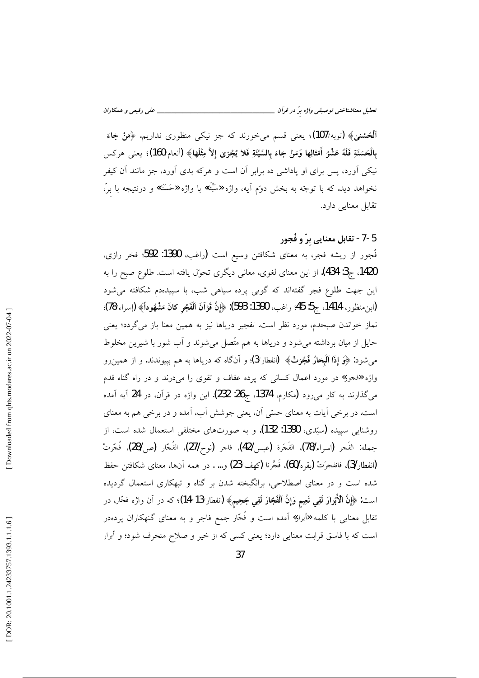ٱلْمُحْشَنْيُ﴾ (توبه/107)؛ يعني قسم ميخورند كه جز نيكي منظوري نداريم. ﴿هَنْ جَاءَ بِالْحَسَنَةِ فَلَهُ عَشْرُ أَمْثَالِها وَمَنْ جاءَ بِالسَّيِّئَةِ فَلا يُجْزِي إِلاَّ مِثْلَها﴾ (أنعام/160)؛ يعني هركس نیکی اَورد، پس برای او یاداشی ده برابر اَن است و هرکه بدی اَورد، جز مانند اَن کیفر نخواهد ديد. كه با توجّه به بخش دوّم أيه، واژه «سَيِّئَة» با واژه «حَسَنَة» و درنتيجه با برّ، تقابل معنایی دارد.

5-7- تقابل معنایی برّ و فُجور

فُجور از ریشه فجر، به معنای شکافتن وسیع است (راغب، 1390: 592؛ فخر رازی، 1420. ج3: 434). از این معنای لغوی، معانی دیگری تحوّل یافته است. طلوع صبح را به این جهت طلوع فجر گفتهاند که گویی پرده سیاهی شب، با سپیدهدم شکافته میشود (ابنِ منظور، 1414، ج5: 45؛ راغب، 1390: 593): ﴿إِنَّ قُوْاَنَ ٱلْفَجْرِ كَانَ مَشْهُوداً﴾ (إسراء/78)؛ نماز خواندن صبحدم، مورد نظر است. تفجیر دریاها نیز به همین معنا باز میگردد؛ یعنی حایل از میان برداشته میشود و دریاها به هم متّصل میشوند و آب شور با شیرین مخلوط میشود: ﴿وَ إِذَا ٱلْبِحٰارُ فُجِّرَتْ﴾ (انفطار/3)؛ و آنگاه که دریاها به هم بپیوندند. و از همین٫و واژه «فجور» در مورد اعمال کسانی که پرده عفاف و تقوی را میدرند و در راه گناه قدم میگذارند به کار میرود (مکارم، 1374، ج26: 232). این واژه در قرآن، در 24 آیه آمده است. در برخی آیات به معنای حسّی آن، یعنی جوشش آب، آمده و در برخی هم به معنای روشنایی سپیده (سیّدی، 1390: 132). و به صورتهای مختلفی استعمال شده است، از جمله: الفَجر (اسراء/78)، الفَجَرة (عبس/42)، فاجر (نوح/27)، الفُجّار (ص28)، فُجّرتْ (انفطار3)، فانفجرَتْ (يقره/60)، فَجَّرنا (كهف/23) و… . در همه آنها، معناي شكافتن حفظ شده است و در معنای اصطلاحی، برانگیخته شدن بر گناه و تبهکاری استعمال گردیده است: ﴿إِنَّ ٱلْأَبْرَارَ لَفِي نَعِيمٍ وَإِنَّ ٱلْفُجَّارَ لَفِي جَحِيمٍ﴾ (انفطار/13-14)؛ كه در آن واژه فحّار، در تقابل معنای<sub>ی</sub> با کلمه «أبرار» آمده است و فُجّار جمع فاجر و به معنای گنهکاران پردهدر است که با فاسق قرابت معنایی دارد؛ یعنی کسی که از خیر و صلاح منحرف شود؛ و أبرار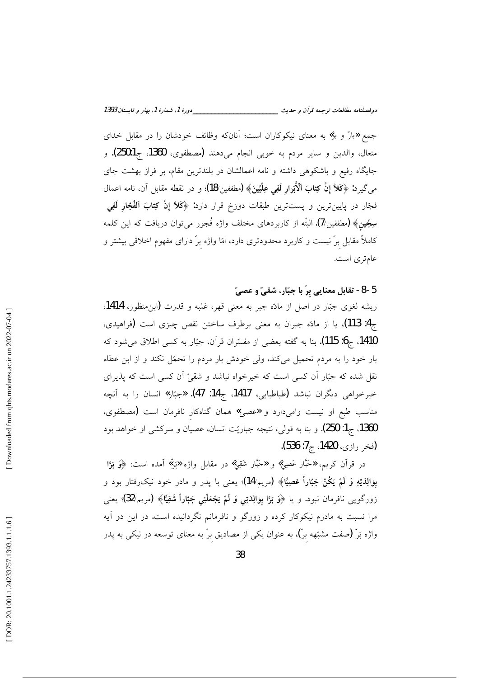جمع «بارّ و برّ» به معنای نیکوکاران است؛ آنانکه وظائف خودشان را در مقابل خدای متعال، والدين و ساير مردم به خوبي انجام ميدهند (مصطفوي، 1360، ج250:1). و جایگاه رفیع و باشکوهی داشته و نامه اعمالشان در بلندترین مقام، بر فراز بهشت جای مي گيرد: ﴿كَلاٌّ إِنَّ كِتَابَ ٱلْأَبْرَارِ لَفِي عِلِّيِّينَ﴾ (مطففين/18)؛ و در نقطه مقابل آن، نامه اعمال فجّار در پایینترین و پستترین طبقات دوزخ قرار دارد: ﴿كَلاً إِنَّ كِثابَ اَلْفُجَّارِ لَفِي سِجِّين﴾ (مطففين/7). البتّه از كاربردهاى مختلف واژه فُجور مىتوان دريافت كه اين كلمه کاملاً مقابل برّ نیست و کاربرد محدودتری دارد، امّا واژه برّ دارای مفهوم اخلاقی بیشتر و عامتری است.

5-8- تقابل معنايي برّ با جبّار، شقيّ و عصيّ ریشه لغوی جبّار در اصل از مادّه جبر به معنی قهر، غلبه و قدرت (ابنِمنظور، 1414. ج4: 113). یا از مادّه جبران به معنی برطرف ساختن نقص چیزی است (فراهیدی، 1410، ج6: 115). بنا به گفته بعضی از مفسّران قرآن، جبّار به کسی اطلاق میشود که بار خود را به مردم تحمیل میکند، ولی خودش بار مردم را تحمّل نکند و از ابن عطاء نقل شده که جبّار آن کسی است که خیرخواه نباشد و شقیّ آن کسی است که پذیرای خیرخواهی دیگران نباشد (طباطبایی، 1417، ج14: 47). «جبّار» انسان را به آنچه مناسب طبع او نیست وامیدارد و «عصبیّ» همان گناهکار نافرمان است (مصطفوی، 1360، ج1: 250). و بنا به قولي، نتيجه جباريّت انسان، عصيان و سركشي او خواهد بود (فخر رازي، 1420، ج7: 536).

در قرآن کریم، «حَبَّار عَصِیّ» و «حَبَّار شَقِیّ» در مقابل واژه «بَرٌ» آمده است: ﴿وَ بَوَّا بوالِدَيْهِ وَ لَمْ يَكُنْ جَبّاراً عَصِيًّا﴾ (مريم/14)؛ يعني با پدر و مادر خود نيکرفتار بود و زورگويې نافرمان نبود. و يا ﴿وَ بَرًّا بِوالِدَتِي وَ لَمْ يَجْعَلْنِي جَبَّاراً شَقِيًّا﴾ (مريم/32)؛ يعني مرا نسبت به مادرم نیکوکار کرده و زورگو و نافرمانم نگردانیده است. در این دو آیه واژه بَرّ (صفت مشبّهه برّ)، به عنوان یکی از مصادیق برّ به معنای توسعه در نیکی به پدر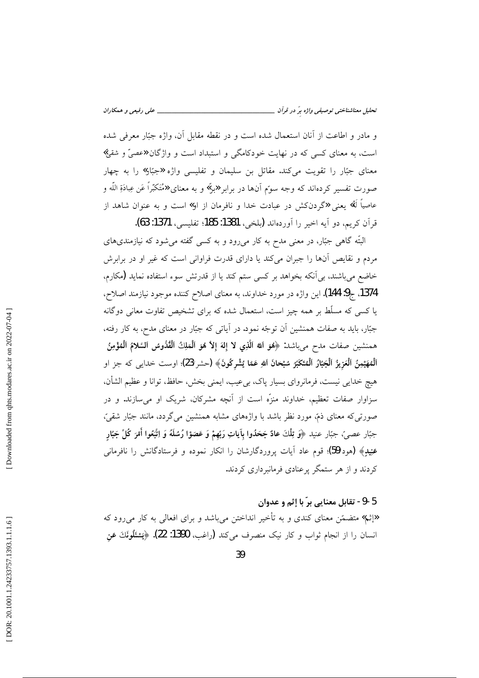و مادر و اطاعت از أنان استعمال شده است و در نقطه مقابل أن، واژه جبّار معرفی شده است، به معنای کسی که در نهایت خودکامگی و استبداد است و واژگان «عصیّ و شقیّ» معنای جبّار را تقویت میکند. مقاتل بن سلیمان و تفلیسی واژه «جبّار» را به چهار صورت تفسیر کردهاند که وجه سوّم آنها در برابر «برّ» و به معنای «مُتَکبّراً عَن عِبادَةِ اللّه و عاصياً لَهُ» يعني «گردنكش در عبادت خدا و نافرمان از او» است و به عنوان شاهد از قرآن كريم، دو آيه اخير را آوردهاند (بلخي، 1381: 185؛ تفليسي، 1371: 63).

البتّه گاه<sub>ی</sub> جبّار، در معنی مدح به کار میرود و به کسی گفته می شود که نیازمندیهای مردم و نقایص آنها را جبران میکند یا دارای قدرت فراوانی است که غیر او در برابرش خاضع میباشند، بی آنکه بخواهد بر کسی ستم کند یا از قدرتش سوء استفاده نماید (مکارم، 1374. ج9: 144). اين واژه در مورد خداوند، به معناى اصلاح كننده موجود نيازمند اصلاح، یا کسی که مسلّط بر همه چیز است، استعمال شده که برای تشخیص تفاوت معانی دوگانه جبّار، باید به صفات همنشین آن توجّه نمود. در آیاتی که جبّار در معنای مدح، به کار رفته، همنشين صفات مدح ميباشد: ﴿هُوَ اللَّهُ اَلَّذِي لا إِلٰهَ إِلاَّ هُوَ اَلْمَلِكُ اَلْقُدُّوسُ اَلسَّلامُ اَلْمُؤْمِنُ ٱلْمُهَيْمِنُ ٱلْعَزِيزُ ٱلْجَبَّارُ ٱلْمُتَكَبِّرُ سُبْحانَ ٱللهِ عَمَّا يُشْرِكُونَ﴾ (حشر/23)؛ اوست خدايبي كه جز او هيچ خدايي نيست، فرمانرواي بسيار پاک، بيءيب، ايمني بخش، حافظ، توانا و عظيم الشأن، سزاوار صفات تعظیم، خداوند منزَّه است از آنچه مشرکان، شریک او می سازند. و در صورتی که معنای ذمّ، مورد نظر باشد با واژههای مشابه همنشین می گردد، مانند جبّار شقیّ، جبّار عصيّ، جبّار عنيد ﴿وَ تِلْكَ عادٌ جَحَدُوا بِآياتِ رَبِّهمْ وَ عَصَوْا رُسُلَهُ وَ اِتَّبَعُوا أَمْرَ كُلّ جَبّار عَنِيدٍ﴾ (هود/59)؛ قوم عاد آيات پروردگارشان را انكار نموده و فرستادگانش را نافرماني کردند و از هر ستمگر پرعنادی فرمانبرداری کردند.

#### 5-9- تقابل معنايي برّ با إثم و عدوان

اإثم» متضمّن معناي كندي و به تأخير انداختن ميباشد و براي افعالي به كار مي رود كه انسان را از انجام ثواب و كار نيك منصرف ميكند (راغب، 1390: 22). ﴿يَسْئَلُونَكَ عَنِ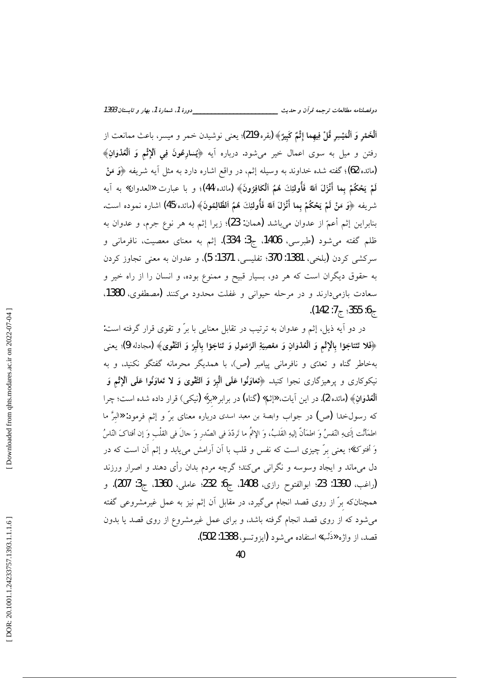ٱلْخَمْرِ وَ ٱلْمَيْسِرِ قُلْ فِيهِما إِثْمٌ كَبِيرٌ﴾ (يقره/219)؛ يعني نوشيدن خمر و ميسر، باعث ممانعت از رفتن و ميل به سوى اعمال خير مى شود. درباره اَيه ﴿يُسارِعُونَ فِي ٱلْإِنْمِ وَ ٱلْعُدْوَانِ﴾ (مائده/62)؛ گفته شده خداوند به وسیله إثـم، در واقع اشاره دارد به مثل آیه شریفه ﴿وَ مَنْ لَمْ يَحْكُمْ بِما أَنْزَلَ اَللهُ فَأُولَئِكَ هُمُ اَلْكَافِرُونَ﴾ (مائده/44)؛ و با عبارت «العدوان» به آيه شريفه ﴿وَ مَنْ لَمْ يَحْكُمْ بِما أَنْزَلَ اَللهُ فَأُولَئِكَ هُمُ الظَّالِمُونَ﴾ (مائده/45) اشاره نموده است. بنابراين إثم أعمّ از عدوان ميباشد (همان: 23)؛ زيرا إثم به هر نوع جرم، و عدوان به ظلم گفته می شود (طبرسی، 1406، ج3: 334). إثم به معنای معصیت، نافرمانی و سركشي كردن (بلخي، 1381: 370؛ تفليسي، 1371: 5)، و عدوان به معنى تجاوز كردن به حقوق دیگران است که هر دو، بسیار قبیح و ممنوع بوده، و انسان را از راه خیر و سعادت بازمي دارند و در مرحله حيواني و غفلت محدود مي كنند (مصطفوي، 1380. .(142 :7  $\frac{1}{6}$  :355 :6  $\frac{1}{6}$ 

در دو آیه ذیل، إثم و عدوان به ترتیب در تقابل معنایی با برّ و تقوی قرار گرفته است: ﴿فَلا تَتَناجَوْا بِالْإِثْمِ وَ ٱلْعُدْوَانِ وَ مَعْصِيَةِ ٱلرَّسُولِ وَ تَناجَوْا بِالْبِرِّ وَ ٱلتَّقْوىٰ﴾ (مجادله/9)؛ يعني بهخاطر گناه و تعدّی و نافرمانی پیامبر (ص)، با همدیگر محرمانه گفتگو نکنید، و به نيكوكاري و پرهيزگاري نجوا كنيد. ﴿تَعَاوَنُوا عَلَى ٱلْبِرِّ وَ ٱلتَّقْوِيٰ وَ لا تَعَاوَنُوا عَلَى ٱلإثْم وَ **اَلْعُدْوٰانِ﴾ (م**ائده/2). در این آیات، «إثم» (گناه) در برابر «برٌ» (نیک<sub>ی</sub>) قرار داده شده است؛ چرا که رسولخدا (ص) در جواب وابصة بن معبد اسدی درباره معنای برّ و إثم فرمود: «البرَّ ما اطمَأنَّت إِلَىهِ النَّفسُ وَ اطمَأنَّ إليهِ القَلبُ، وَ الإثمُ ما تَردّدَ في الصّدر وَ حالَ في القلْب وَ إن أفتاكَ النّاسُ وَ أفتوكَ» يعني برّ چيزي است كه نفس و قلب با اَن اَرامش ميLبابد و إثم اَن است كه در دل میماند و ایجاد وسوسه و نگرانی میکند؛ گرچه مردم بدان رأی دهند و اصرار ورزند (راغب، 1390: 23؛ ابوالفتوح رازى، 1408، ج6: 232؛ عاملى، 1360، ج3: 207). و همچنانکه برّ از روی قصد انجام میگیرد، در مقابل آن إثم نیز به عمل غیرمشروعی گفته می شود که از روی قصد انجام گرفته باشد، و برای عمل غیرمشروع از روی قصد یا بدون قصد، از واژه «ذَنْب» استفاده می شود (ایزوتسو، 1388: 502).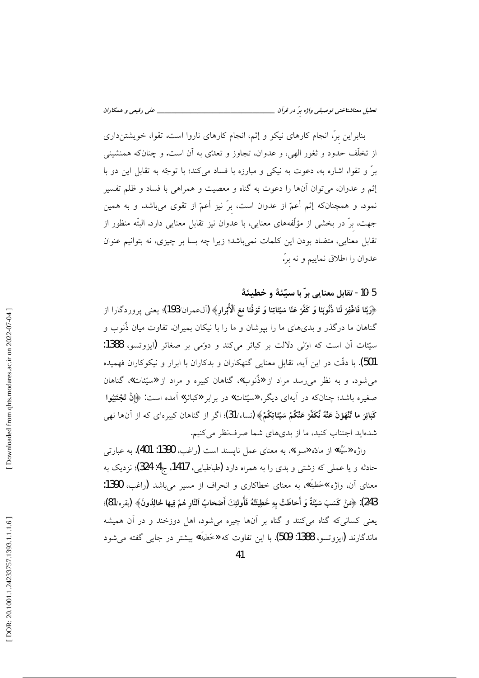بنابراین برّ، انجام کارهای نیکو و إثم، انجام کارهای ناروا است. تقوا، خویشتنداری از تخلّف حدود و ثغور الهي، و عدوان، تجاوز و تعدّي به آن است. و چنانکه همنشيني برٌ و تقوا، اشاره به، دعوت به نیکی و مبارزه با فساد میکند؛ با توجّه به تقابل این دو با إثم و عدوان، مي توان أنها را دعوت به گناه و معصيت و همراهي با فساد و ظلم تفسير نمود. و همچنانکه إثم أعمّ از عدوان است، برّ نيز أعمّ از تقوى مىباشد. و به همين جهت، برّ در بخشی از مؤلّفههای معنایی، با عدوان نیز تقابل معنایی دارد. البتّه منظور از تقابل معنایی، متضاد بودن این کلمات نمیباشد؛ زیرا چه بسا بر چیزی، نه بتوانیم عنوان عدوان را اطلاق نماییم و نه برّ.

5-10- تقابل معنايي برّ با سيّئهٔ و خطيئهٔ

﴿رَبَّنا فَاغْفِرْ لَنا ذُنُوبَنا وَ كَفَّرْ عَنَّا سَيِّئاتِنا وَ تَوَفَّنا مَعَ ٱلْأَبْرارِ﴾ (آلءمران/193)؛ يعنى پروردگارا از گناهان ما درگذر و بدیهای ما را بپوشان و ما را با نیکان بمیران. تفاوت میان ذُنوب و سیّئات آن است که اوّلی دلالت بر کبائر میکند و دوّمی بر صغائر (ایزوتسو، 1388: 501). با دقّت در این آیه، تقابل معنایی گنهکاران و بدکاران با ابرار و نیکوکاران فهمیده می شود. و به نظر می رسد مراد از «ذُنوب»، گناهان کبیره و مراد از «سیّئات»، گناهان صغیره باشد؛ چنانکه در آیهای دیگر، «سیّئات» در برابر «کبائر» آمده است: ﴿إِنْ تَجْتَنِيُوا كَبَائِرَ ما تُنْهَوْنَ عَنْهُ نُكَفِّرْ عَنْكُمْ سَيِّئاتِكُمْ﴾ (نساء/31)؛ اگر از گناهان كبيرهاى كه از آنها نهى شدهاید اجتناب کنید، ما از بدیهای شما صرف نظر می کنیم.

واژه «سَيِّئة» از مادّه «سوء»، به معناي عمل نايسند است (راغب، 1390: 401). به عبارتي حادثه و یا عملی که زشتی و بدی را به همراه دارد (طباطبایی، 1417، ج4: 324)؛ نزدیک به معناي آن، واژه »خَطيَّة»، به معناي خطاكاري و انحراف از مسير مي باشد (راغب، 1390: 243): ﴿مَنْ كَسَبَ سَيِّئَةً وَ أَحاطَتْ بِهِ خَطِيئَتُهُ فَأُولَئِكَ أَصْحابُ النّارِ هُمْ فِيها خالِدُونَ﴾ (يقره/81)؛ یعنی کسانیکه گناه میکنند و گناه بر آنها چیره میشود، اهل دوزخند و در آن همیشه ماندگارند (ايزوتسو، 1388: 509). با اين تفاوت كه «خَطِيَّة» بيشتر در جايبي گفته مي شود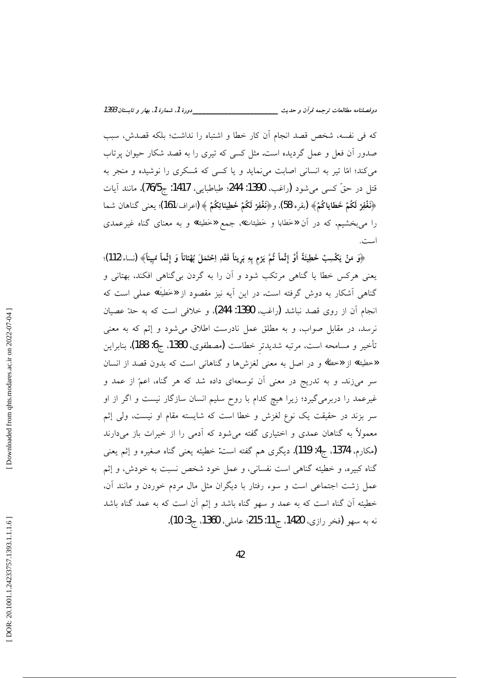كه في نفسه، شخص قصد انجام أن كار خطا و اشتباه را نداشت؛ بلكه قصدش، سبب صدور آن فعل و عمل گردیده است. مثل کسی که تیری را به قصد شکار حیوان پرتاب می کند؛ امّا تیر به انسانی اصابت می نماید و یا کسی که مُسکری را نوشیده و منجر به قتل در حقّ كسى مى شود (راغب، 1390: 244؛ طباطبايي، 1417: ج76/5). مانند آيات ﴿نَغْفِرْ لَكُمْ خَطَاياكُمْ﴾ (يقره/58). و﴿نَغْفِرْ لَكُمْ خَطِيئاتِكُمْ ﴾ (اعراف/161)؛ يعني گناهان شما را میبخشیم. که در آن «خَطایا و خَطِیئات»، جمع «خَطیئة» و به معنای گناه غیرعمدی است.

﴿وَ مَنْ يَكْسِبْ خَطِيئَةً أَوْ إِثْماً ثُمَّ يَرْم بِهِ بَرِيناً فَقَدِ اِحْتَمَلَ بُهْناناً وَ إِثْماً مُبيناً﴾ (نساء/112)؛ یعنی هرکس خطا یا گناهی مرتکب شود و آن را به گردن بی گناهی افکند، بهتانی و گناهی آشکار به دوش گرفته است. در این آیه نیز مقصود از «خَطِیَّة» عملی است که انجام آن از روى قصد نباشد (راغب، 1390: 244). و خلافى است كه به حدّ عصيان نرسد، در مقابل صواب، و به مطلق عمل نادرست اطلاق میشود و إثم که به معنی تأخير و مسامحه است، مرتبه شديدتر خطاست (مصطفوى، 1380، ج6: 188). بنابراين «خطيئة» از «خطأ» و در اصل به معنى لغزشها و گناهانى است كه بدون قصد از انسان سر میزند. و به تدریج در معنی آن توسعهای داده شد که هر گناه، اعمّ از عمد و غیرعمد را دربرمیگیرد؛ زیرا هیچ کدام با روح سلیم انسان سازگار نیست و اگر از او سر بزند در حقیقت یک نوع لغزش و خطا است که شایسته مقام او نیست، ولی إثم معمولاً به گناهان عمدی و اختیاری گفته میشود که آدمی را از خیرات باز میدارند (مکارم، 1374، ج4: 119). ديگرى هم گفته است: خطيئه يعني گناه صغيره و إثم يعني گناه کبیره، و خطیئه گناهی است نفسانی، و عمل خود شخص نسبت به خودش، و إثم عمل زشت اجتماعی است و سوء رفتار با دیگران مثل مال مردم خوردن و مانند آن، خطیئه آن گناه است که به عمد و سهو گناه باشد و إثم آن است که به عمد گناه باشد نه به سهو (فخر رازي، 1420، ج11: 215؛ عاملي، 1360، ج3: 10).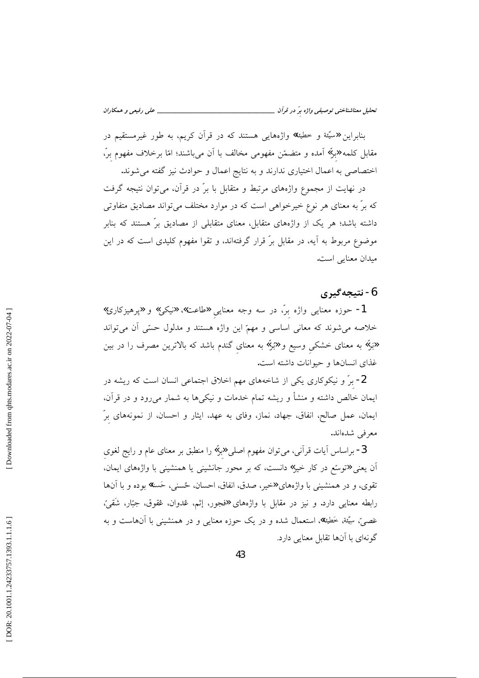بنابراین «سیَّنة و خطیئة» واژههایی هستند که در قرأن کریم، به طور غیرمستقیم در مقابل کلمه «برٌ» آمده و متضمّن مفهومی مخالف با اَن میباشند؛ امّا برخلاف مفهوم برٌ، اختصاصی به اعمال اختیاری ندارند و به نتایج اعمال و حوادث نیز گفته می شوند.

در نهایت از مجموع واژههای مرتبط و متقابل با برّ در قرآن، می توان نتیجه گرفت که برّ به معنای هر نوع خیرخواهی است که در موارد مختلف میتواند مصادیق متفاوتی داشته باشد؛ هر یک از واژههای متقابل، معنای متقابلی از مصادیق برّ هستند که بنابر موضوع مربوط به آیه، در مقابل برّ قرار گرفتهاند، و تقوا مفهوم کلیدی است که در این میدان معنایی است.

## 6- نتيجەگيرى

1- حوزه معنایی واژه برّ، در سه وجه معنایی «طاعت»، «نیکی» و «پرهیزکاری» خلاصه میشوند که معانی اساسی و مهمّ این واژه هستند و مدلول حسّی آن میٍتواند «بَرّ» به معنای خشکی وسیع و «بَرّ» به معنای گندم باشد که بالاترین مصرف را در بین غذای انسانها و حیوانات داشته است.

2- برٌ و نیکوکاری یکی از شاخههای مهم اخلاق اجتماعی انسان است که ریشه در ایمان خالص داشته و منشأ و ریشه تمام خدمات و نیکیها به شمار می٫ود و در قرآن، ایمان، عمل صالح، انفاق، جهاد، نماز، وفای به عهد، ایثار و احسان، از نمونههای برّ معرفی شدهاند.

3- براساس آیات قرآنی، میتوان مفهوم اصلی «برٌ» را منطبق بر معنای عام و رایج لغوی آن یعنی «توسّع در کار خیر» دانست، که بر محور جانشینی یا همنشینی با واژههای ایمان، تقوى، و در همنشيني با واژههاي «خير، صدق، انفاق، احسان، ځسنې، حَسنة» بوده و با آنها رابطه معنایی دارد. و نیز در مقابل با واژههای «فجور، إثم، عُدوان، عُقوق، جِبّار، شَقِيّ، عَصِّيٌّ، سِيِّثة، خَطيئة»، استعمال شده و در يک حوزه معنايي و در همنشيني با آنهاست و به گونهای با آنها تقابل معنایی دارد.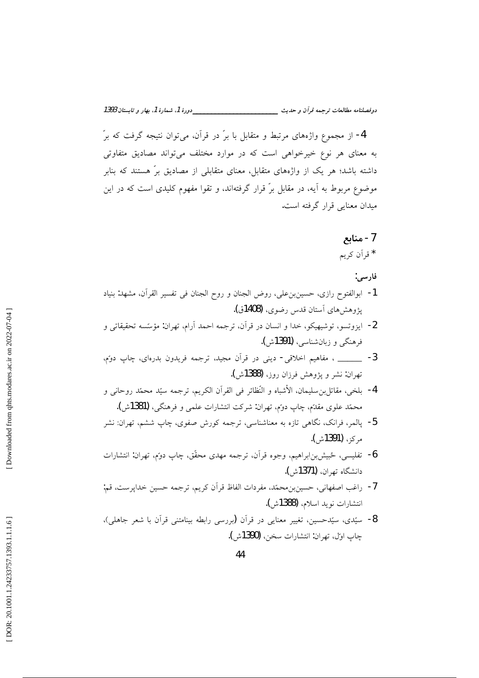\_\_\_\_\_\_\_\_\_\_\_دورهٔ 1، شمارهٔ 1، بهار و تابستان 1393 دوفصلنامه مطالعات ترجمه قرأن و حديث \_\_\_\_\_\_\_\_\_\_\_\_\_

4- از مجموع واژههای مرتبط و متقابل با برّ در قرآن، می توان نتیجه گرفت که برّ به معنای هر نوع خیرخواهی است که در موارد مختلف می تواند مصادیق متفاوتی داشته باشد؛ هر یک از واژههای متقابل، معنای متقابلی از مصادیق برّ هستند که بنابر موضوع مربوط به آیه، در مقابل برّ قرار گرفتهاند، و تقوا مفهوم کلیدی است که در این میدان معنایی قرار گرفته است.

7- منابع

\* قرأن كريم

فارسي:

- 1- ابوالفتوح رازي، حسين بن علي، روض الجنان و روح الجنان في تفسير القرآن، مشهد: بنياد پژوهشهای آستان قدس رضوی، (1408ق).
- 2- ايزوتسو، توشيهيكو، خدا و انسان در قرآن، ترجمه احمد آرام، تهران: مؤسّسه تحقيقاتي و فرهنگي و زبان شناسي، (1391ش).
- 3- \_\_\_\_\_ ، مفاهيم اخلاقي- ديني در قرآن مجيد، ترجمه فريدون بدرهاي، چاپ دوتم، تهران: نشر و يژوهش فرزان روز، (1388ش).
- 4- بلخي، مقاتل;بن سليمان، الأشباه و النَّظائر في القرآن الكريم، ترجمه سيّد محمّد روحاني و محمّد علوی مقدّم، چاپ دومّ، تهران: شرکت انتشارات علمی و فرهنگی، (1381ش).
- <mark>5</mark>- پالمر، فرانک، نگاه<sub>ی</sub> تازه به معناشناسی، ترجمه کورش صفوی، چاپ ششم، تهران: نشر مركز، (1391ش).
- 6- تفلیسی، ځبیش بن ابراهیم، وجوه قرآن، ترجمه مهدی محقّق، چاپ دوم، تهران: انتشارات دانشگاه تهران، (1371ش).
- 7- راغب اصفهاني، حسينبنِ محمّد، مفردات الفاظ قرآن كريم، ترجمه حسين خداپرست، قم: انتشارات نويد اسلام، (1388ش).
- 8- سيّدي، سيّدحسين، تغيير معنايي در قرآن (بررسي رابطه بينامتني قرآن با شعر جاهلي)، جاب اوّل، تهران: انتشارات سخن، (1390ش).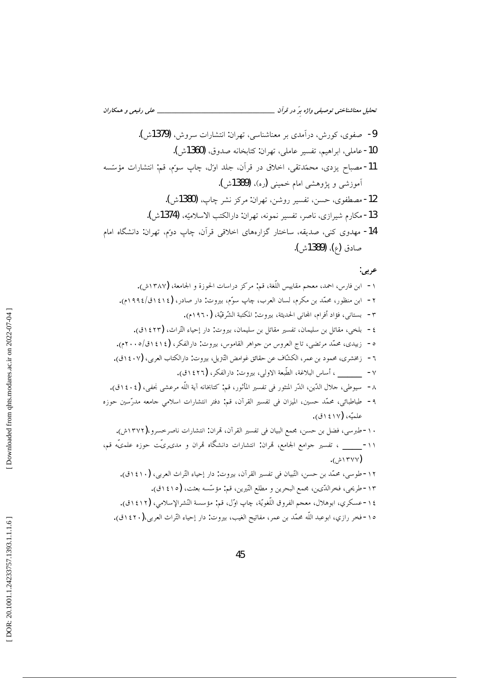عربي: